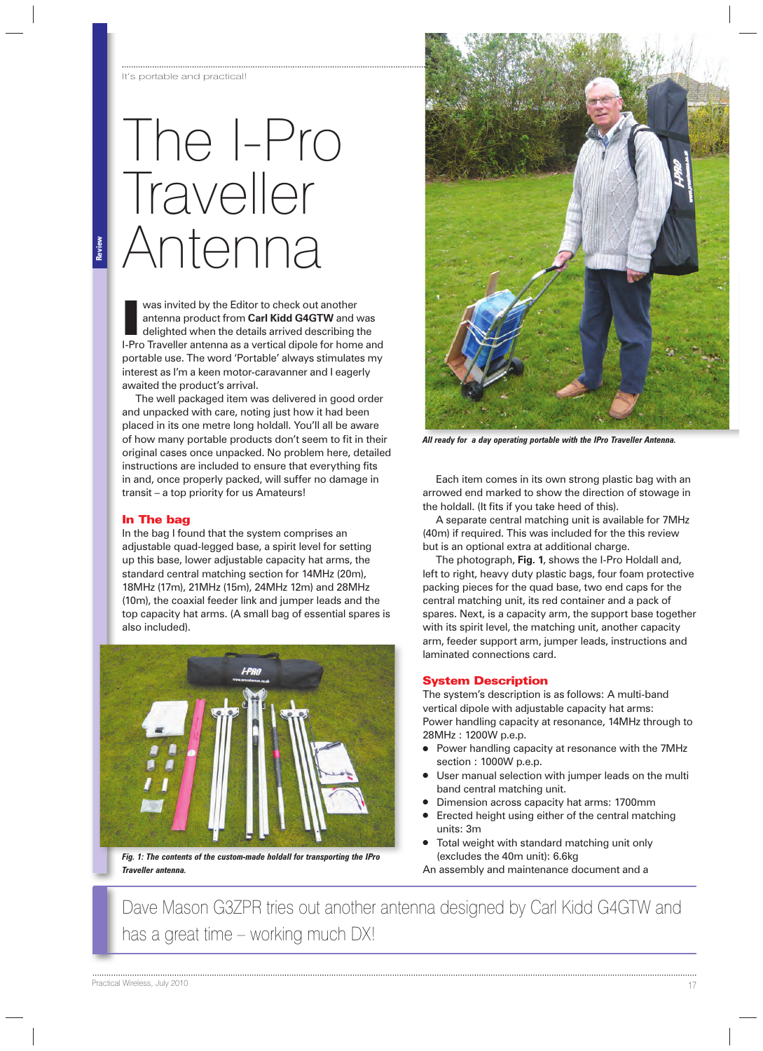# The I-Pro Traveller Antenna

was invited by the Editor to check out another<br>antenna product from Carl Kidd G4GTW and was<br>delighted when the details arrived describing the<br>I-Pro Traveller antenna as a vertical dipole for home and was invited by the Editor to check out another antenna product from **Carl Kidd G4GTW** and was delighted when the details arrived describing the portable use. The word 'Portable' always stimulates my interest as I'm a keen motor-caravanner and I eagerly awaited the product's arrival.

The well packaged item was delivered in good order and unpacked with care, noting just how it had been placed in its one metre long holdall. You'll all be aware of how many portable products don't seem to fit in their original cases once unpacked. No problem here, detailed instructions are included to ensure that everything fits in and, once properly packed, will suffer no damage in transit – a top priority for us Amateurs!

# In The bag

In the bag I found that the system comprises an adjustable quad-legged base, a spirit level for setting up this base, lower adjustable capacity hat arms, the standard central matching section for 14MHz (20m), 18MHz (17m), 21MHz (15m), 24MHz 12m) and 28MHz (10m), the coaxial feeder link and jumper leads and the top capacity hat arms. (A small bag of essential spares is also included).



Fig. 1: The contents of the custom-made holdall for transporting the IPro *Traveller antenna.*



*All ready for a day operating portable with the IPro Traveller Antenna.*

Each item comes in its own strong plastic bag with an arrowed end marked to show the direction of stowage in the holdall. (It fits if you take heed of this).

A separate central matching unit is available for 7MHz (40m) if required. This was included for the this review but is an optional extra at additional charge.

The photograph, **Fig. 1**, shows the I-Pro Holdall and, left to right, heavy duty plastic bags, four foam protective packing pieces for the quad base, two end caps for the central matching unit, its red container and a pack of spares. Next, is a capacity arm, the support base together with its spirit level, the matching unit, another capacity arm, feeder support arm, jumper leads, instructions and laminated connections card.

### System Description

The system's description is as follows: A multi-band vertical dipole with adjustable capacity hat arms: Power handling capacity at resonance, 14MHz through to 28MHz : 1200W p.e.p.

- Power handling capacity at resonance with the 7MHz section : 1000W p.e.p.
- User manual selection with jumper leads on the multi band central matching unit.
- Dimension across capacity hat arms: 1700mm
- Erected height using either of the central matching units: 3m
- Total weight with standard matching unit only (excludes the 40m unit): 6.6kg

An assembly and maintenance document and a

Dave Mason G3ZPR tries out another antenna designed by Carl Kidd G4GTW and has a great time – working much DX!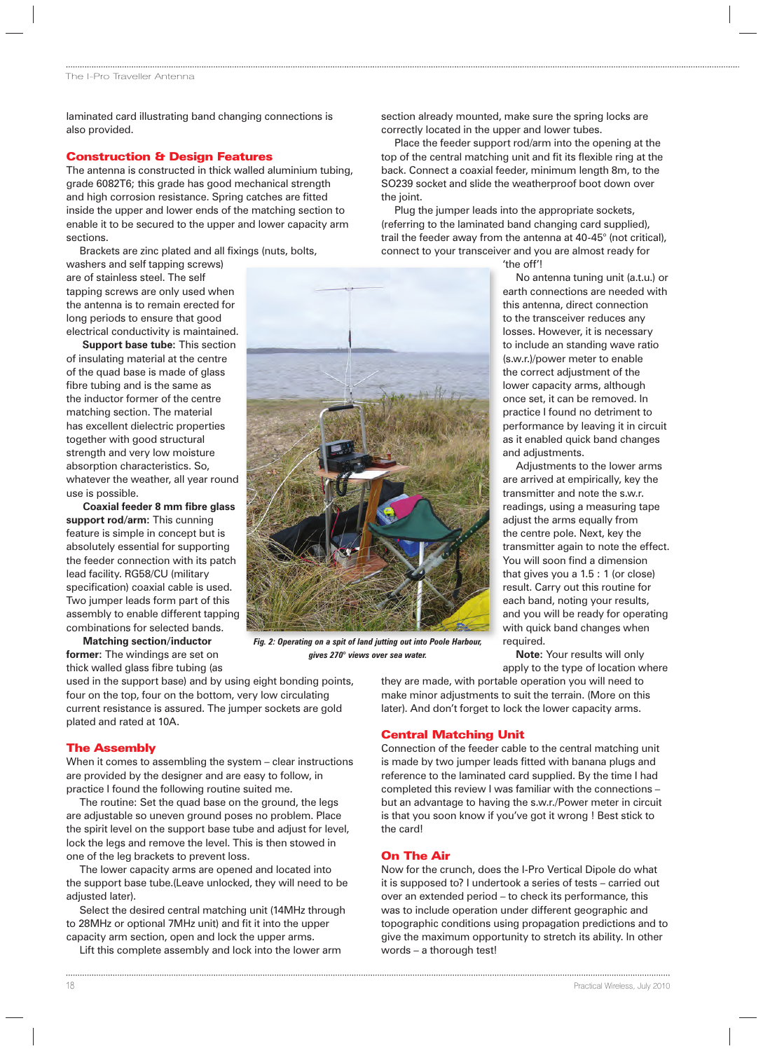laminated card illustrating band changing connections is also provided.

# Construction & Design Features

The antenna is constructed in thick walled aluminium tubing, grade 6082T6; this grade has good mechanical strength and high corrosion resistance. Spring catches are fitted inside the upper and lower ends of the matching section to enable it to be secured to the upper and lower capacity arm sections.

Brackets are zinc plated and all fixings (nuts, bolts,

washers and self tapping screws) are of stainless steel. The self tapping screws are only used when the antenna is to remain erected for long periods to ensure that good electrical conductivity is maintained.

**Support base tube:** This section of insulating material at the centre of the quad base is made of glass fibre tubing and is the same as the inductor former of the centre matching section. The material has excellent dielectric properties together with good structural strength and very low moisture absorption characteristics. So, whatever the weather, all year round use is possible.

**Coaxial feeder 8 mm fibre glass support rod/arm:** This cunning feature is simple in concept but is absolutely essential for supporting the feeder connection with its patch lead facility. RG58/CU (military specification) coaxial cable is used. Two jumper leads form part of this assembly to enable different tapping combinations for selected bands.

**Matching section/inductor** 

**former:** The windings are set on thick walled glass fibre tubing (as

used in the support base) and by using eight bonding points, four on the top, four on the bottom, very low circulating current resistance is assured. The jumper sockets are gold plated and rated at 10A.

### The Assembly

When it comes to assembling the system – clear instructions are provided by the designer and are easy to follow, in practice I found the following routine suited me.

The routine: Set the quad base on the ground, the legs are adjustable so uneven ground poses no problem. Place the spirit level on the support base tube and adjust for level, lock the legs and remove the level. This is then stowed in one of the leg brackets to prevent loss.

The lower capacity arms are opened and located into the support base tube.(Leave unlocked, they will need to be adjusted later).

Select the desired central matching unit (14MHz through to 28MHz or optional 7MHz unit) and fit it into the upper capacity arm section, open and lock the upper arms.

Lift this complete assembly and lock into the lower arm

section already mounted, make sure the spring locks are correctly located in the upper and lower tubes.

Place the feeder support rod/arm into the opening at the top of the central matching unit and fit its flexible ring at the back. Connect a coaxial feeder, minimum length 8m, to the SO239 socket and slide the weatherproof boot down over the joint.

Plug the jumper leads into the appropriate sockets, (referring to the laminated band changing card supplied), trail the feeder away from the antenna at 40-45° (not critical), connect to your transceiver and you are almost ready for

'the off'!

No antenna tuning unit (a.t.u.) or earth connections are needed with this antenna, direct connection to the transceiver reduces any losses. However, it is necessary to include an standing wave ratio (s.w.r.)/power meter to enable the correct adjustment of the lower capacity arms, although once set, it can be removed. In practice I found no detriment to performance by leaving it in circuit as it enabled quick band changes and adjustments.

Adjustments to the lower arms are arrived at empirically, key the transmitter and note the s.w.r. readings, using a measuring tape adjust the arms equally from the centre pole. Next, key the transmitter again to note the effect. You will soon find a dimension that gives you a 1.5 : 1 (or close) result. Carry out this routine for each band, noting your results, and you will be ready for operating with quick band changes when required.

**Note:** Your results will only apply to the type of location where

they are made, with portable operation you will need to make minor adjustments to suit the terrain. (More on this later). And don't forget to lock the lower capacity arms.

### Central Matching Unit

Connection of the feeder cable to the central matching unit is made by two jumper leads fitted with banana plugs and reference to the laminated card supplied. By the time I had completed this review I was familiar with the connections – but an advantage to having the s.w.r./Power meter in circuit is that you soon know if you've got it wrong ! Best stick to the card!

# On The Air

Now for the crunch, does the I-Pro Vertical Dipole do what it is supposed to? I undertook a series of tests – carried out over an extended period – to check its performance, this was to include operation under different geographic and topographic conditions using propagation predictions and to give the maximum opportunity to stretch its ability. In other words – a thorough test!

18 Practical Wireless, July 2010



*Fig. 2: Operating on a spit of land jutting out into Poole Harbour, gives 270° views over sea water.*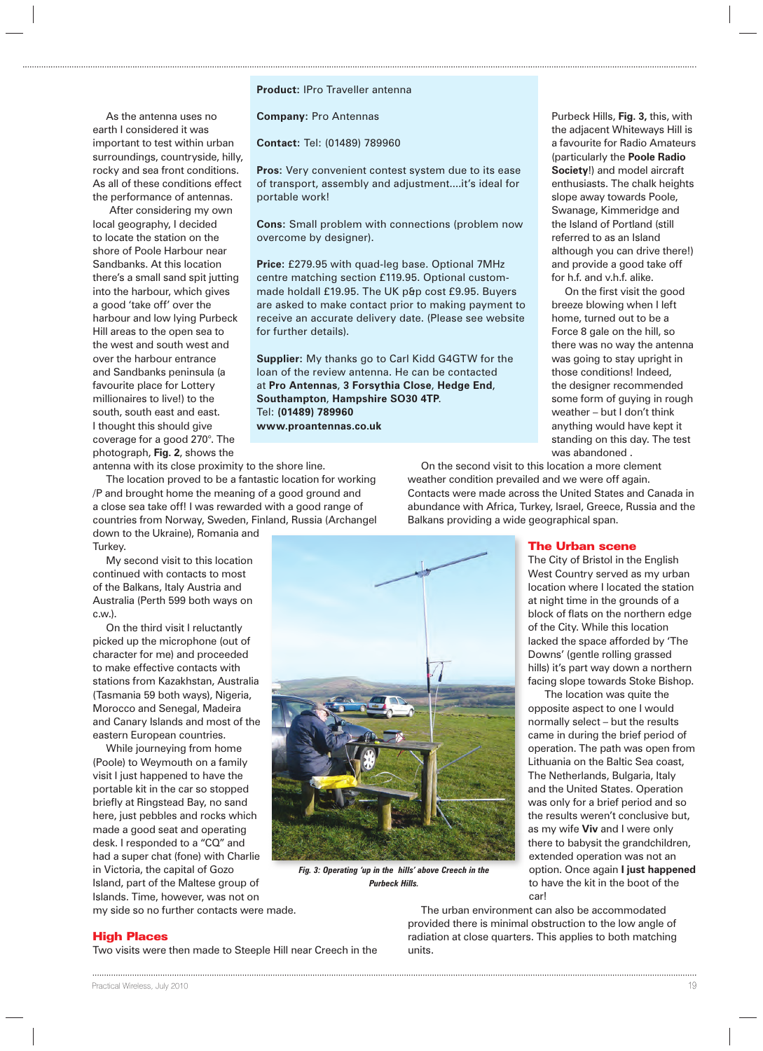# **Product:** IPro Traveller antenna

**Company:** Pro Antennas

**Contact:** Tel: (01489) 789960

**Pros:** Very convenient contest system due to its ease of transport, assembly and adjustment....it's ideal for portable work!

**Cons:** Small problem with connections (problem now overcome by designer).

**Price:** £279.95 with quad-leg base. Optional 7MHz centre matching section £119.95. Optional custommade holdall £19.95. The UK p&p cost £9.95. Buyers are asked to make contact prior to making payment to receive an accurate delivery date. (Please see website for further details).

**Supplier:** My thanks go to Carl Kidd G4GTW for the loan of the review antenna. He can be contacted at **Pro Antennas**, **3 Forsythia Close**, **Hedge End**, **Southampton**, **Hampshire SO30 4TP**. Tel: **(01489) 789960 www.proantennas.co.uk**

Purbeck Hills, **Fig. 3,** this, with the adjacent Whiteways Hill is a favourite for Radio Amateurs (particularly the **Poole Radio Society**!) and model aircraft enthusiasts. The chalk heights slope away towards Poole, Swanage, Kimmeridge and the Island of Portland (still referred to as an Island although you can drive there!) and provide a good take off for h.f. and v.h.f. alike.

On the first visit the good breeze blowing when I left home, turned out to be a Force 8 gale on the hill, so there was no way the antenna was going to stay upright in those conditions! Indeed, the designer recommended some form of guying in rough weather – but I don't think anything would have kept it standing on this day. The test was abandoned

On the second visit to this location a more clement weather condition prevailed and we were off again. Contacts were made across the United States and Canada in abundance with Africa, Turkey, Israel, Greece, Russia and the Balkans providing a wide geographical span.

### The Urban scene

The City of Bristol in the English West Country served as my urban location where I located the station at night time in the grounds of a block of flats on the northern edge of the City. While this location lacked the space afforded by 'The Downs' (gentle rolling grassed hills) it's part way down a northern facing slope towards Stoke Bishop.

The location was quite the opposite aspect to one I would normally select – but the results came in during the brief period of operation. The path was open from Lithuania on the Baltic Sea coast, The Netherlands, Bulgaria, Italy and the United States. Operation was only for a brief period and so the results weren't conclusive but, as my wife **Viv** and I were only there to babysit the grandchildren, extended operation was not an option. Once again **I just happened**  to have the kit in the boot of the car!

The urban environment can also be accommodated provided there is minimal obstruction to the low angle of radiation at close quarters. This applies to both matching units.

antenna with its close proximity to the shore line.

The location proved to be a fantastic location for working /P and brought home the meaning of a good ground and a close sea take off! I was rewarded with a good range of countries from Norway, Sweden, Finland, Russia (Archangel down to the Ukraine), Romania and

Turkey. My second visit to this location continued with contacts to most

As the antenna uses no earth I considered it was important to test within urban surroundings, countryside, hilly, rocky and sea front conditions. As all of these conditions effect the performance of antennas. After considering my own local geography, I decided to locate the station on the shore of Poole Harbour near Sandbanks. At this location there's a small sand spit jutting into the harbour, which gives a good 'take off' over the harbour and low lying Purbeck Hill areas to the open sea to the west and south west and over the harbour entrance and Sandbanks peninsula (a favourite place for Lottery millionaires to live!) to the south, south east and east. I thought this should give coverage for a good 270°. The photograph, **Fig. 2**, shows the

of the Balkans, Italy Austria and Australia (Perth 599 both ways on c.w.).

On the third visit I reluctantly picked up the microphone (out of character for me) and proceeded to make effective contacts with stations from Kazakhstan, Australia (Tasmania 59 both ways), Nigeria, Morocco and Senegal, Madeira and Canary Islands and most of the eastern European countries.

While journeying from home (Poole) to Weymouth on a family visit I just happened to have the portable kit in the car so stopped briefly at Ringstead Bay, no sand here, just pebbles and rocks which made a good seat and operating desk. I responded to a "CQ" and had a super chat (fone) with Charlie in Victoria, the capital of Gozo Island, part of the Maltese group of Islands. Time, however, was not on my side so no further contacts were made.

Two visits were then made to Steeple Hill near Creech in the







*Fig. 3: Operating 'up in the hills' above Creech in the Purbeck Hills.*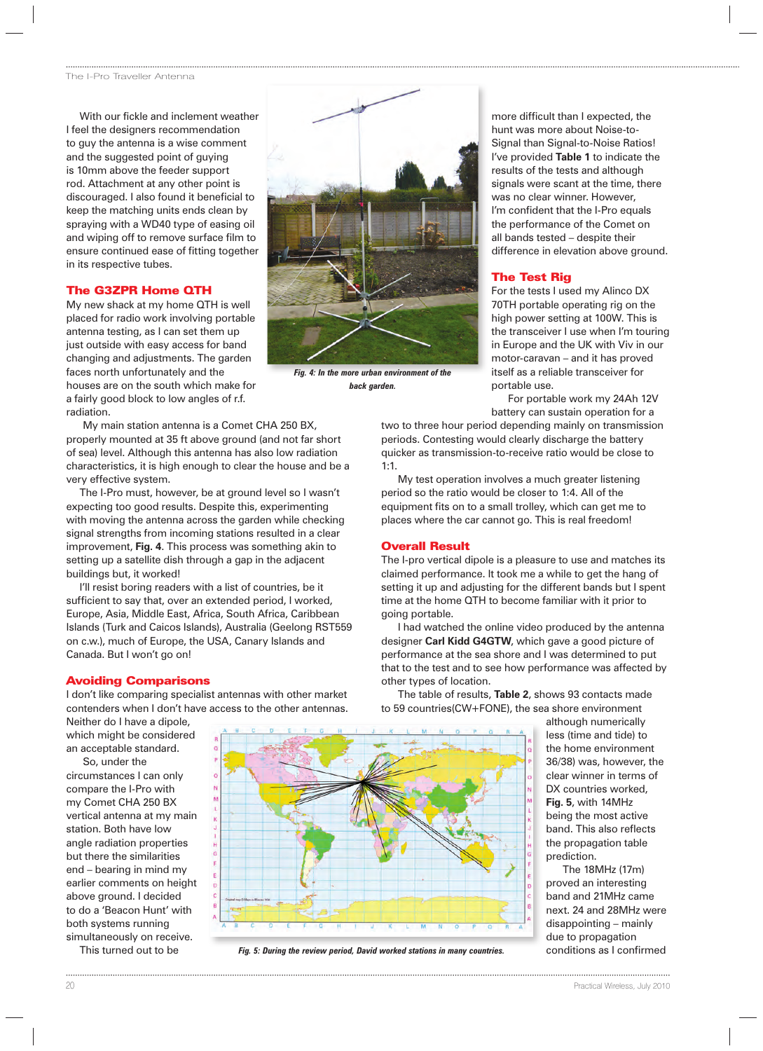With our fickle and inclement weather I feel the designers recommendation to guy the antenna is a wise comment and the suggested point of guying is 10mm above the feeder support rod. Attachment at any other point is discouraged. I also found it beneficial to keep the matching units ends clean by spraying with a WD40 type of easing oil and wiping off to remove surface film to ensure continued ease of fitting together in its respective tubes.

# The G3ZPR Home QTH

My new shack at my home QTH is well placed for radio work involving portable antenna testing, as I can set them up just outside with easy access for band changing and adjustments. The garden faces north unfortunately and the houses are on the south which make for a fairly good block to low angles of r.f. radiation.

My main station antenna is a Comet CHA 250 BX, properly mounted at 35 ft above ground (and not far short of sea) level. Although this antenna has also low radiation characteristics, it is high enough to clear the house and be a very effective system.

The I-Pro must, however, be at ground level so I wasn't expecting too good results. Despite this, experimenting with moving the antenna across the garden while checking signal strengths from incoming stations resulted in a clear improvement, **Fig. 4**. This process was something akin to setting up a satellite dish through a gap in the adjacent buildings but, it worked!

I'll resist boring readers with a list of countries, be it sufficient to say that, over an extended period, I worked, Europe, Asia, Middle East, Africa, South Africa, Caribbean Islands (Turk and Caicos Islands), Australia (Geelong RST559 on c.w.), much of Europe, the USA, Canary Islands and Canada. But I won't go on!

# Avoiding Comparisons

I don't like comparing specialist antennas with other market contenders when I don't have access to the other antennas.

Neither do I have a dipole, which might be considered an acceptable standard.

So, under the circumstances I can only compare the I-Pro with my Comet CHA 250 BX vertical antenna at my main station. Both have low angle radiation properties but there the similarities end – bearing in mind my earlier comments on height above ground. I decided to do a 'Beacon Hunt' with both systems running simultaneously on receive.

This turned out to be



*Fig. 4: In the more urban environment of the back garden.*

more difficult than I expected, the hunt was more about Noise-to-Signal than Signal-to-Noise Ratios! I've provided **Table 1** to indicate the results of the tests and although signals were scant at the time, there was no clear winner. However, I'm confident that the I-Pro equals the performance of the Comet on all bands tested – despite their difference in elevation above ground.

### The Test Rig

For the tests I used my Alinco DX 70TH portable operating rig on the high power setting at 100W. This is the transceiver I use when I'm touring in Europe and the UK with Viv in our motor-caravan – and it has proved itself as a reliable transceiver for portable use.

For portable work my 24Ah 12V battery can sustain operation for a

two to three hour period depending mainly on transmission periods. Contesting would clearly discharge the battery quicker as transmission-to-receive ratio would be close to 1:1.

My test operation involves a much greater listening period so the ratio would be closer to 1:4. All of the equipment fits on to a small trolley, which can get me to places where the car cannot go. This is real freedom!

# Overall Result

The I-pro vertical dipole is a pleasure to use and matches its claimed performance. It took me a while to get the hang of setting it up and adjusting for the different bands but I spent time at the home QTH to become familiar with it prior to going portable.

I had watched the online video produced by the antenna designer **Carl Kidd G4GTW**, which gave a good picture of performance at the sea shore and I was determined to put that to the test and to see how performance was affected by other types of location.

The table of results, **Table 2**, shows 93 contacts made to 59 countries(CW+FONE), the sea shore environment

> although numerically less (time and tide) to the home environment 36/38) was, however, the clear winner in terms of DX countries worked, **Fig. 5**, with 14MHz being the most active band. This also reflects the propagation table prediction.

The 18MHz (17m) proved an interesting band and 21MHz came next. 24 and 28MHz were disappointing – mainly due to propagation



Fig. 5: During the review period, David worked stations in many countries. **Conditions as I confirmed**